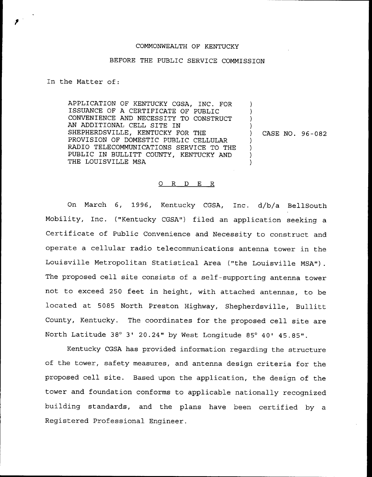## COMMONWEALTH OF KENTUCKY

## BEFORE THE PUBLIC SERVICE COMMISSION

## In the Matter of:

APPLICATION OF KENTUCKY CGSA, INC. FOR ISSUANCE OF A CERTIFICATE OF PUBLIC CONVENIENCE AND NECESSITY TO CONSTRUCT AN ADDITIONAL CELL SITE IN SHEPHERDSVILLE, KENTUCKY FOR THE PROVISION OF DOMESTIC PUBLIC CELLULAR RADIO TELECOMMUNICATIONS SERVICE TO THE PUBLIC IN BULLITT COUNTY, KENTUCKY AND THE LOUISVILLE MSA

) CASE NO. 96-082

) ) ) )

> ) ) ) )

## 0 R <sup>D</sup> E R

On March 6, 1996, Kentucky CGSA, Inc. d/b/a BellSouth Mobility, Inc. {"Kentucky CGSA") filed an application seeking a Certificate of Public Convenience and Necessity to construct and operate a cellular radio telecommunications antenna tower in the Louisville Metropolitan Statistical Area {"the Louisville MSA"). The proposed cell site consists of a self-supporting antenna tower not to exceed 250 feet in height, with attached antennas, to be located at 5085 North Preston Highway, Shepherdsville, Bullitt County, Kentucky. The coordinates for the proposed cell site are North Latitude 38° 3' 20.24" by West Longitude 85° 40' 45.85".

Kentucky CGSA has provided information regarding the structure of the tower, safety measures, and antenna design criteria for the proposed cell site. Based upon the application, the design of the tower and foundation conforms to applicable nationally recognized building standards, and the plans have been certified by a Registered Professional Engineer.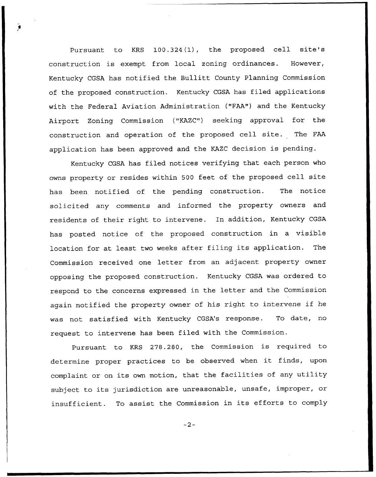Pursuant to KRS 100.324(1), the proposed cell site's construction is exempt from local zoning ordinances. However, Kentucky CGSA has notified the Bullitt County Planning Commission of the proposed construction. Kentucky CGSA has filed applications with the Federal Aviation Administration ("FAA") and the Kentucky Airport Zoning Commission {"KAZC") seeking approval for the construction and operation of the proposed cell site. The FAA application has been approved and the KAZC decision is pending.

Kentucky CGSA has filed notices verifying that each person who owns property or resides within <sup>500</sup> feet of the proposed cell site has been notified of the pending construction. The notice solicited any comments and informed the property owners and residents of their right to intervene. In addition, Kentucky CGSA has posted notice of the proposed construction in a visible location for at least two weeks after filing its application. The Commission received one letter from an adjacent property owner opposing the proposed construction. Kentucky CGSA was ordered to respond to the concerns expressed in the letter and the Commission again notified the property owner of his right to intervene if he was not satisfied with Kentucky CGSA's response. To date, no request to intervene has been filed with the Commission.

Pursuant to KRS 278.280, the Commission is required to determine proper practices to be observed when it finds, upon complaint or on its own motion, that the facilities of any utility subject to its jurisdiction are unreasonable, unsafe, improper, or insufficient. To assist the Commission in its efforts to comply

 $-2-$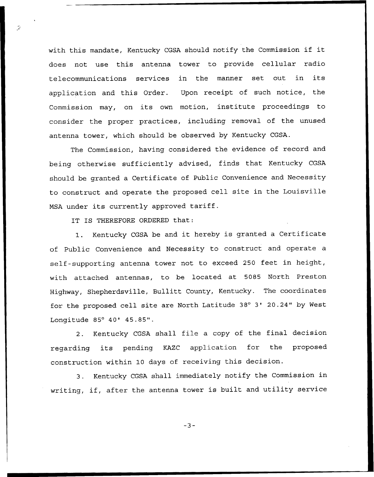with this mandate, Kentucky CGSA should notify the Commission if it does not use this antenna tower to provide cellular radio telecommunications services in the manner set out in its application and this Order. Upon receipt of such notice, the Commission may, on its own motion, institute proceedings to consider the proper practices, including removal of the unused antenna tower, which should be observed by Kentucky CGSA.

The Commission, having considered the evidence of record and being otherwise sufficiently advised, finds that Kentucky CGSA should be granted a Certificate of Public Convenience and Necessity to construct and operate the proposed cell site in the Louisville MSA under its currently approved tariff.

IT IS THEREFORE ORDERED that:

1. Kentucky CGSA be and it hereby is granted <sup>a</sup> Certificate of Public Convenience and Necessity to construct and operate a self-supporting antenna tower not to exceed 250 feet in height, with attached antennas, to be located at 5085 North Preston Highway, Shepherdsville, Bullitt County, Kentucky. The coordinates for the proposed cell site are North Latitude 38° 3' 20.24" by West Longitude 85° 40' 45.85".

2. Kentucky CGSA shall file <sup>a</sup> copy of the final decision regarding its pending KAZC application for the proposed construction within 10 days of receiving this decision.

3. Kentucky CGSA shall immediately notify the Commission in writing, if, after the antenna tower is built and utility service

 $-3-$